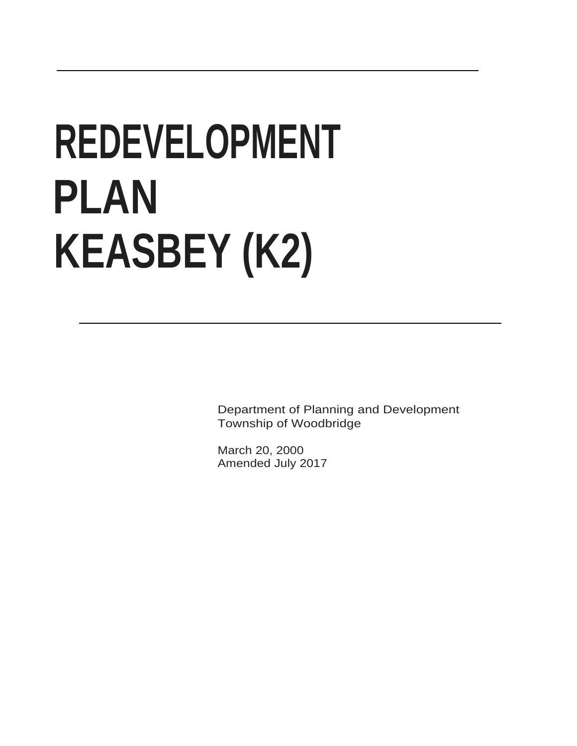# **REDEVELOPMENT PLAN KEASBEY (K2)**

Department of Planning and Development Township of Woodbridge

March 20, 2000 Amended July 2017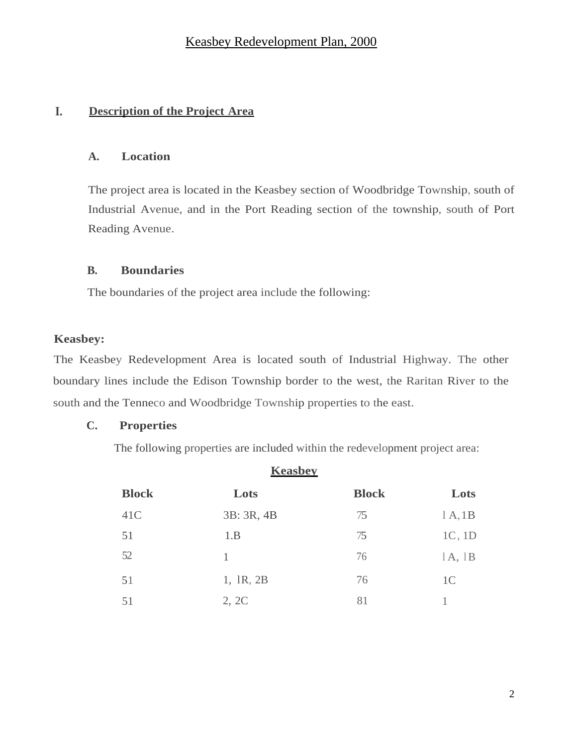# **I. Description of the Project Area**

# **A. Location**

The project area is located in the Keasbey section of Woodbridge Township, south of Industrial Avenue, and in the Port Reading section of the township, south of Port Reading Avenue.

## **B. Boundaries**

The boundaries of the project area include the following:

## **Keasbey:**

The Keasbey Redevelopment Area is located south of Industrial Highway. The other boundary lines include the Edison Township border to the west, the Raritan River to the south and the Tenneco and Woodbridge Township properties to the east.

## **C. Properties**

The following properties are included within the redevelopment project area:

| <b>Keasbey</b> |            |              |                |  |
|----------------|------------|--------------|----------------|--|
| <b>Block</b>   | Lots       | <b>Block</b> | Lots           |  |
| 41C            | 3B: 3R, 4B | 75           | 1A,1B          |  |
| 51             | 1.B        | 75           | 1C, 1D         |  |
| 52             | 1          | 76           | 1A, 1B         |  |
| 51             | 1, 1R, 2B  | 76           | 1 <sup>C</sup> |  |
| 51             | 2, 2C      | 81           |                |  |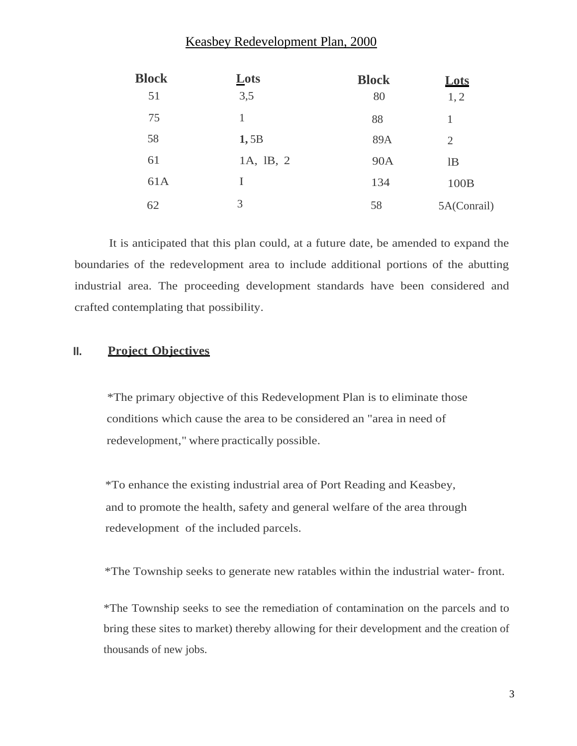| <b>Block</b> | Lots      | <b>Block</b> | Lots        |
|--------------|-----------|--------------|-------------|
| 51           | 3,5       | 80           | 1, 2        |
| 75           | 1         | 88           |             |
| 58           | 1,5B      | 89A          | 2           |
| 61           | 1A, 1B, 2 | <b>90A</b>   | lB          |
| 61A          | I         | 134          | 100B        |
| 62           | 3         | 58           | 5A(Conrail) |

It is anticipated that this plan could, at a future date, be amended to expand the boundaries of the redevelopment area to include additional portions of the abutting industrial area. The proceeding development standards have been considered and crafted contemplating that possibility.

#### **II. Project Objectives**

\*The primary objective of this Redevelopment Plan is to eliminate those conditions which cause the area to be considered an "area in need of redevelopment," where practically possible.

\*To enhance the existing industrial area of Port Reading and Keasbey, and to promote the health, safety and general welfare of the area through redevelopment of the included parcels.

\*The Township seeks to generate new ratables within the industrial water- front.

\*The Township seeks to see the remediation of contamination on the parcels and to bring these sites to market) thereby allowing for their development and the creation of thousands of new jobs.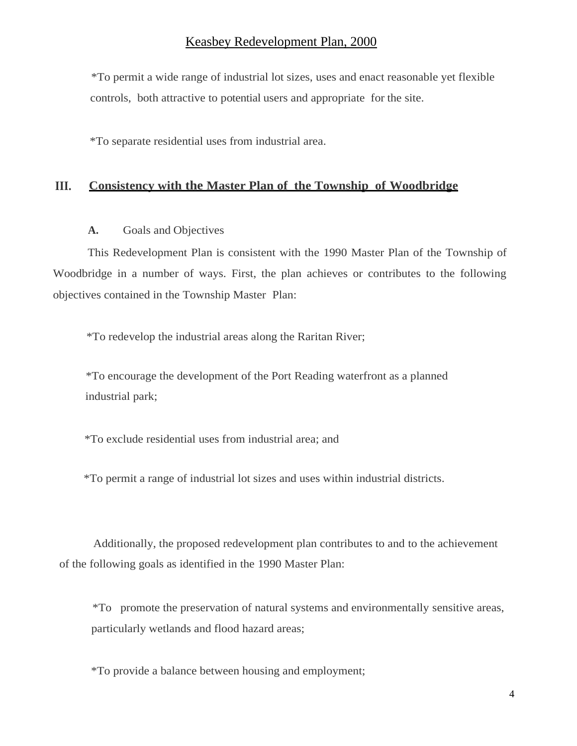\*To permit a wide range of industrial lot sizes, uses and enact reasonable yet flexible controls, both attractive to potential users and appropriate for the site.

\*To separate residential uses from industrial area.

#### **III. Consistency with the Master Plan of the Township of Woodbridge**

#### **A.** Goals and Objectives

This Redevelopment Plan is consistent with the 1990 Master Plan of the Township of Woodbridge in a number of ways. First, the plan achieves or contributes to the following objectives contained in the Township Master Plan:

\*To redevelop the industrial areas along the Raritan River;

\*To encourage the development of the Port Reading waterfront as a planned industrial park;

\*To exclude residential uses from industrial area; and

\*To permit a range of industrial lot sizes and uses within industrial districts.

Additionally, the proposed redevelopment plan contributes to and to the achievement of the following goals as identified in the 1990 Master Plan:

\*To promote the preservation of natural systems and environmentally sensitive areas, particularly wetlands and flood hazard areas;

\*To provide a balance between housing and employment;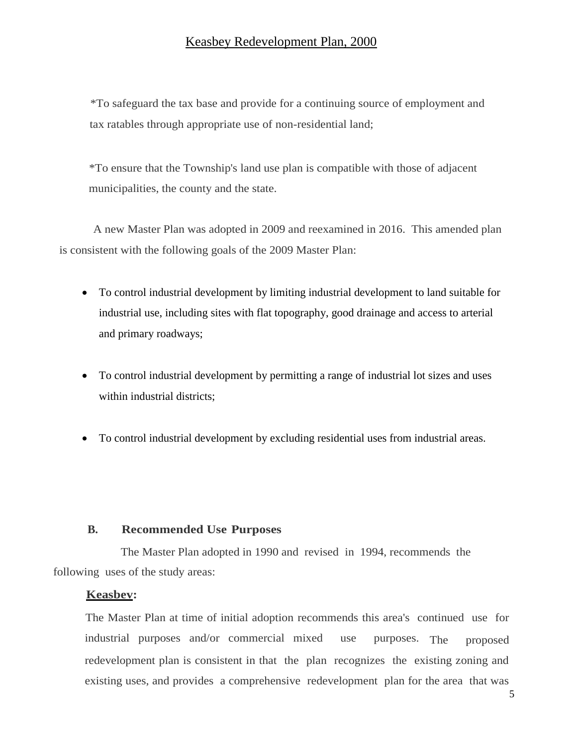\*To safeguard the tax base and provide for a continuing source of employment and tax ratables through appropriate use of non-residential land;

\*To ensure that the Township's land use plan is compatible with those of adjacent municipalities, the county and the state.

A new Master Plan was adopted in 2009 and reexamined in 2016. This amended plan is consistent with the following goals of the 2009 Master Plan:

- To control industrial development by limiting industrial development to land suitable for industrial use, including sites with flat topography, good drainage and access to arterial and primary roadways;
- To control industrial development by permitting a range of industrial lot sizes and uses within industrial districts:
- To control industrial development by excluding residential uses from industrial areas.

#### **B. Recommended Use Purposes**

The Master Plan adopted in 1990 and revised in 1994, recommends the following uses of the study areas:

#### **Keasbev:**

The Master Plan at time of initial adoption recommends this area's continued use for industrial purposes and/or commercial mixed use purposes. The proposed redevelopment plan is consistent in that the plan recognizes the existing zoning and existing uses, and provides a comprehensive redevelopment plan for the area that was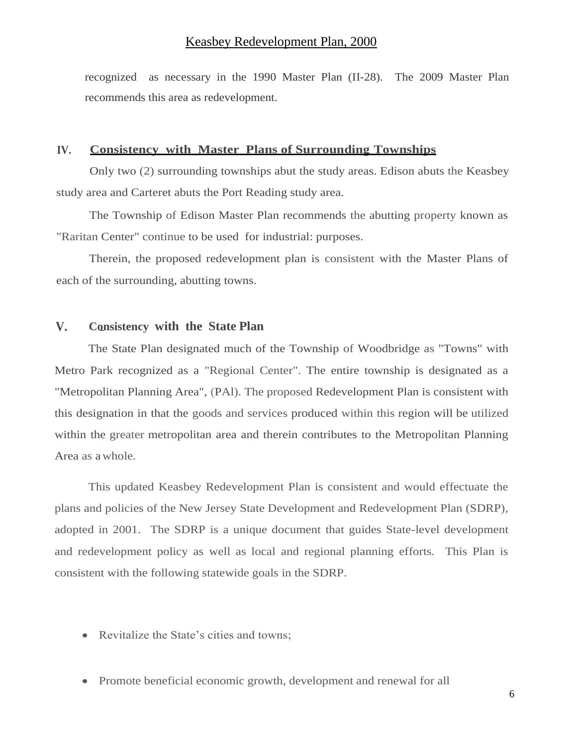recognized as necessary in the 1990 Master Plan (II-28). The 2009 Master Plan recommends this area as redevelopment.

#### **IV. Consistency with Master Plans of Surrounding Townships**

Only two (2) surrounding townships abut the study areas. Edison abuts the Keasbey study area and Carteret abuts the Port Reading study area.

The Township of Edison Master Plan recommends the abutting property known as "Raritan Center" continue to be used for industrial: purposes.

Therein, the proposed redevelopment plan is consistent with the Master Plans of each of the surrounding, abutting towns.

## **V. Consistency with the State Plan**

The State Plan designated much of the Township of Woodbridge as "Towns" with Metro Park recognized as a "Regional Center". The entire township is designated as a "Metropolitan Planning Area", (PAl). The proposed Redevelopment Plan is consistent with this designation in that the goods and services produced within this region will be utilized within the greater metropolitan area and therein contributes to the Metropolitan Planning Area as awhole.

This updated Keasbey Redevelopment Plan is consistent and would effectuate the plans and policies of the New Jersey State Development and Redevelopment Plan (SDRP), adopted in 2001. The SDRP is a unique document that guides State-level development and redevelopment policy as well as local and regional planning efforts. This Plan is consistent with the following statewide goals in the SDRP.

- Revitalize the State's cities and towns;
- Promote beneficial economic growth, development and renewal for all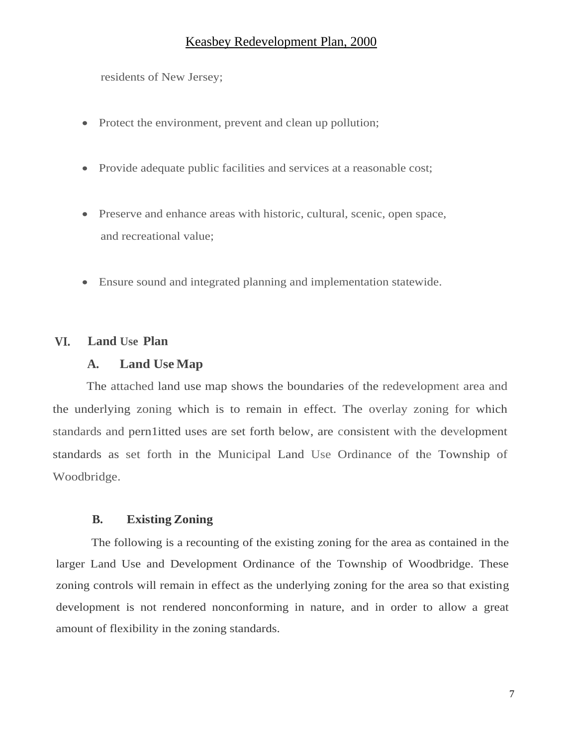residents of New Jersey;

- Protect the environment, prevent and clean up pollution;
- Provide adequate public facilities and services at a reasonable cost;
- Preserve and enhance areas with historic, cultural, scenic, open space, and recreational value;
- Ensure sound and integrated planning and implementation statewide.

## **VI. Land Use Plan**

## **A. Land Use Map**

The attached land use map shows the boundaries of the redevelopment area and the underlying zoning which is to remain in effect. The overlay zoning for which standards and pern1itted uses are set forth below, are consistent with the development standards as set forth in the Municipal Land Use Ordinance of the Township of Woodbridge.

## **B. Existing Zoning**

The following is a recounting of the existing zoning for the area as contained in the larger Land Use and Development Ordinance of the Township of Woodbridge. These zoning controls will remain in effect as the underlying zoning for the area so that existing development is not rendered nonconforming in nature, and in order to allow a great amount of flexibility in the zoning standards.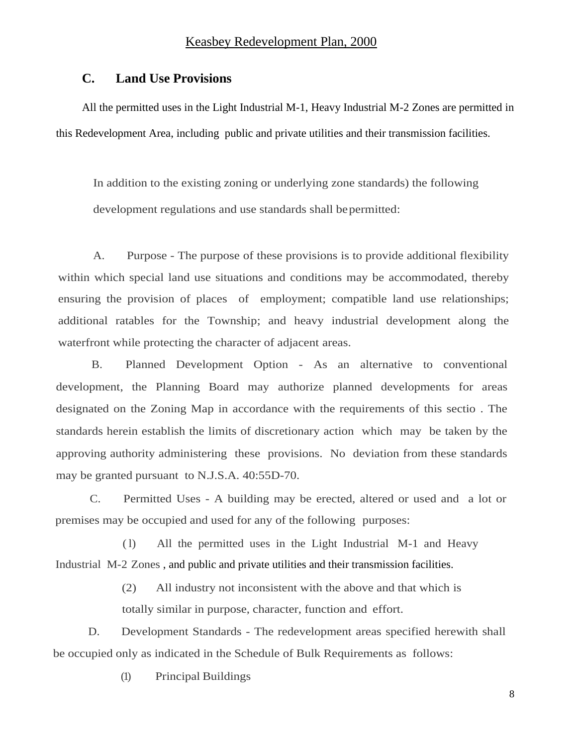## **C. Land Use Provisions**

All the permitted uses in the Light Industrial M-1, Heavy Industrial M-2 Zones are permitted in this Redevelopment Area, including public and private utilities and their transmission facilities.

In addition to the existing zoning or underlying zone standards) the following development regulations and use standards shall be permitted:

A. Purpose - The purpose of these provisions is to provide additional flexibility within which special land use situations and conditions may be accommodated, thereby ensuring the provision of places of employment; compatible land use relationships; additional ratables for the Township; and heavy industrial development along the waterfront while protecting the character of adjacent areas.

B. Planned Development Option - As an alternative to conventional development, the Planning Board may authorize planned developments for areas designated on the Zoning Map in accordance with the requirements of this sectio . The standards herein establish the limits of discretionary action which may be taken by the approving authority administering these provisions. No deviation from these standards may be granted pursuant to N.J.S.A. 40:55D-70.

C. Permitted Uses - A building may be erected, altered or used and a lot or premises may be occupied and used for any of the following purposes:

( l) All the permitted uses in the Light Industrial M-1 and Heavy Industrial M-2 Zones , and public and private utilities and their transmission facilities.

> (2) All industry not inconsistent with the above and that which is totally similar in purpose, character, function and effort.

D. Development Standards - The redevelopment areas specified herewith shall be occupied only as indicated in the Schedule of Bulk Requirements as follows:

(1) Principal Buildings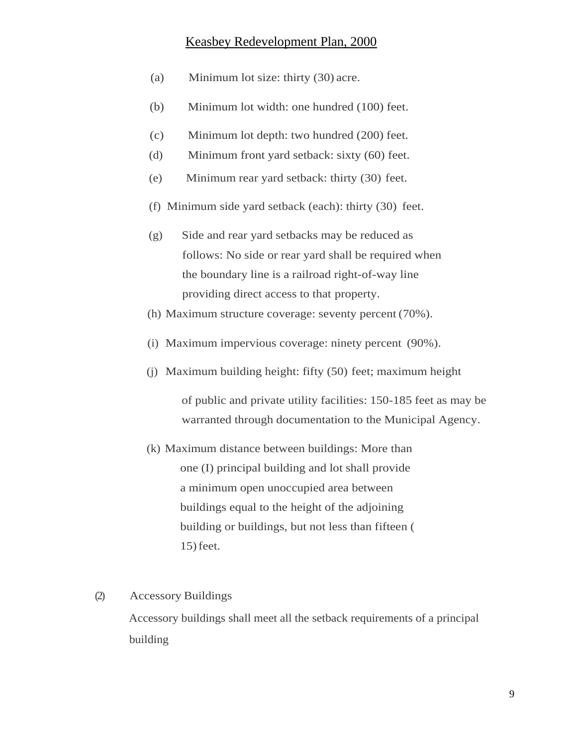- (a) Minimum lot size: thirty (30) acre.
- (b) Minimum lot width: one hundred (100) feet.
- (c) Minimum lot depth: two hundred (200) feet.
- (d) Minimum front yard setback: sixty (60) feet.
- (e) Minimum rear yard setback: thirty (30) feet.
- (f) Minimum side yard setback (each): thirty (30) feet.
- (g) Side and rear yard setbacks may be reduced as follows: No side or rear yard shall be required when the boundary line is a railroad right-of-way line providing direct access to that property.
- (h) Maximum structure coverage: seventy percent (70%).
- (i) Maximum impervious coverage: ninety percent (90%).
- (j) Maximum building height: fifty (50) feet; maximum height

of public and private utility facilities: 150-185 feet as may be warranted through documentation to the Municipal Agency.

(k) Maximum distance between buildings: More than one (I) principal building and lot shall provide a minimum open unoccupied area between buildings equal to the height of the adjoining building or buildings, but not less than fifteen ( 15)feet.

#### (2) Accessory Buildings

Accessory buildings shall meet all the setback requirements of a principal building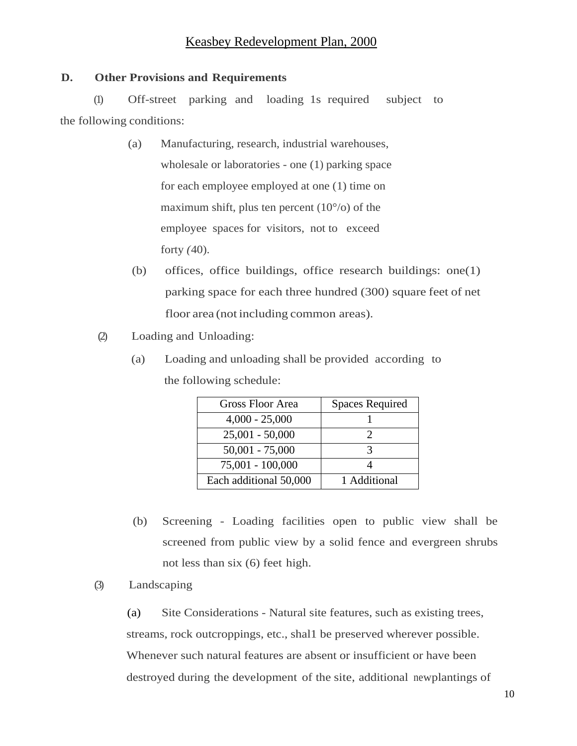## **D. Other Provisions and Requirements**

(1) Off-street parking and loading 1s required subject to the following conditions:

- (a) Manufacturing, research, industrial warehouses, wholesale or laboratories - one (1) parking space for each employee employed at one (1) time on maximum shift, plus ten percent  $(10^{\circ}/o)$  of the employee spaces for visitors, not to exceed forty *(*40).
- (b) offices, office buildings, office research buildings: one(1) parking space for each three hundred (300) square feet of net floor area (not including common areas).
- (2) Loading and Unloading:
	- (a) Loading and unloading shall be provided according to the following schedule:

| Gross Floor Area       | Spaces Required |
|------------------------|-----------------|
| $4,000 - 25,000$       |                 |
| $25,001 - 50,000$      |                 |
| $50,001 - 75,000$      |                 |
| 75,001 - 100,000       |                 |
| Each additional 50,000 | 1 Additional    |

- (b) Screening Loading facilities open to public view shall be screened from public view by a solid fence and evergreen shrubs not less than six (6) feet high.
- (3) Landscaping

(a) Site Considerations - Natural site features, such as existing trees, streams, rock outcroppings, etc., shal1 be preserved wherever possible. Whenever such natural features are absent or insufficient or have been destroyed during the development of the site, additional new plantings of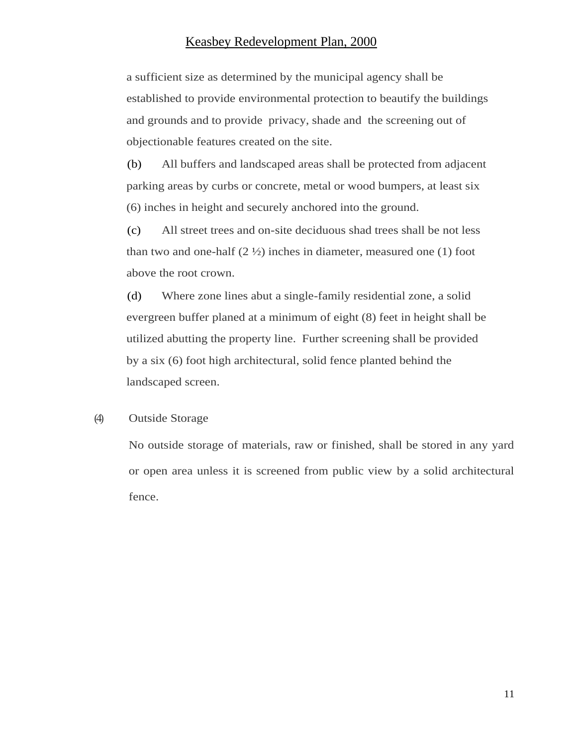a sufficient size as determined by the municipal agency shall be established to provide environmental protection to beautify the buildings and grounds and to provide privacy, shade and the screening out of objectionable features created on the site.

(b) All buffers and landscaped areas shall be protected from adjacent parking areas by curbs or concrete, metal or wood bumpers, at least six (6) inches in height and securely anchored into the ground.

(c) All street trees and on-site deciduous shad trees shall be not less than two and one-half  $(2 \frac{1}{2})$  inches in diameter, measured one (1) foot above the root crown.

(d) Where zone lines abut a single-family residential zone, a solid evergreen buffer planed at a minimum of eight (8) feet in height shall be utilized abutting the property line. Further screening shall be provided by a six (6) foot high architectural, solid fence planted behind the landscaped screen.

#### (4) Outside Storage

No outside storage of materials, raw or finished, shall be stored in any yard or open area unless it is screened from public view by a solid architectural fence.